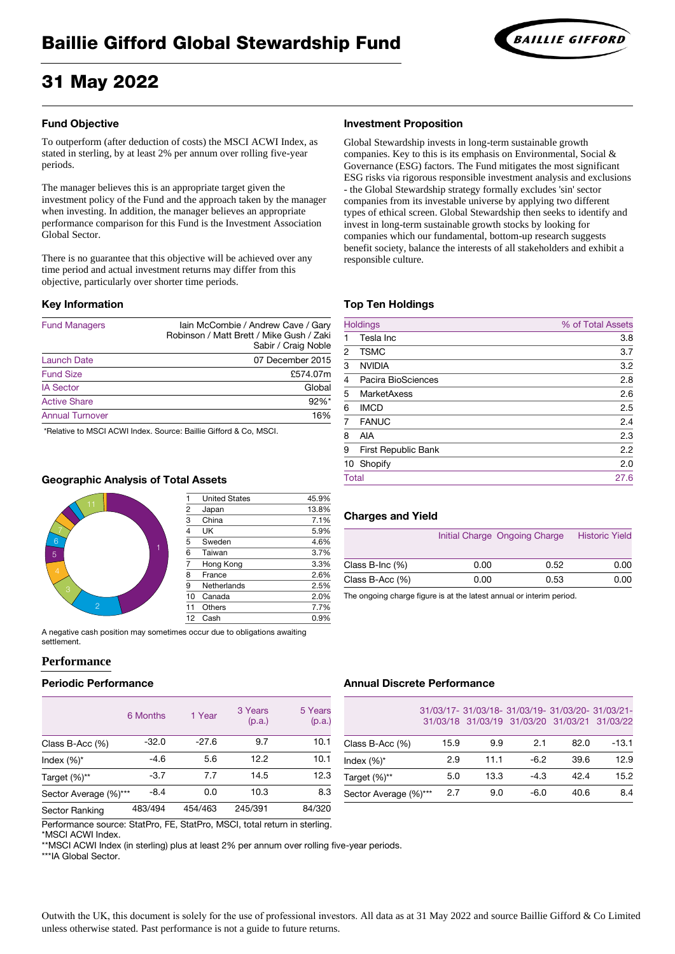# 31 May 2022

# **Fund Objective**

To outperform (after deduction of costs) the MSCI ACWI Index, as stated in sterling, by at least 2% per annum over rolling five-year periods.

The manager believes this is an appropriate target given the investment policy of the Fund and the approach taken by the manager when investing. In addition, the manager believes an appropriate performance comparison for this Fund is the Investment Association Global Sector.

There is no guarantee that this objective will be achieved over any time period and actual investment returns may differ from this objective, particularly over shorter time periods.

# **Key Information**

| <b>Fund Managers</b>   | Iain McCombie / Andrew Cave / Gary<br>Robinson / Matt Brett / Mike Gush / Zaki<br>Sabir / Craig Noble |
|------------------------|-------------------------------------------------------------------------------------------------------|
| <b>Launch Date</b>     | 07 December 2015                                                                                      |
| <b>Fund Size</b>       | £574.07m                                                                                              |
| <b>IA Sector</b>       | Global                                                                                                |
| <b>Active Share</b>    | $92\%$ *                                                                                              |
| <b>Annual Turnover</b> | 16%                                                                                                   |
|                        |                                                                                                       |

\*Relative to MSCI ACWI Index. Source: Baillie Gifford & Co, MSCI.

# **Geographic Analysis of Total Assets**



| 1              | <b>United States</b> | 45.9% |
|----------------|----------------------|-------|
|                | Japan                | 13.8% |
| $\frac{2}{3}$  | China                | 7.1%  |
|                | <b>UK</b>            | 5.9%  |
| $\overline{5}$ | Sweden               | 4.6%  |
| $\overline{6}$ | Taiwan               | 3.7%  |
| $\overline{7}$ | <b>Hong Kong</b>     | 3.3%  |
| 8              | France               | 2.6%  |
| 9              | <b>Netherlands</b>   | 2.5%  |
| 10             | Canada               | 2.0%  |
| 11             | <b>Others</b>        | 7.7%  |
| 12             | Cash                 | 0.9%  |

A negative cash position may sometimes occur due to obligations awaiting settlement.

# **Performance**

# **Periodic Performance**

|                       | 6 Months | 1 Year  | 3 Years<br>(p.a.) | 5 Years<br>(p.a.) |
|-----------------------|----------|---------|-------------------|-------------------|
| Class B-Acc $(\%)$    | $-32.0$  | $-27.6$ | 9.7               | 10.1              |
| Index $(\%)^*$        | $-4.6$   | 5.6     | 12.2              | 10.1              |
| Target $(\%)^{**}$    | $-3.7$   | 7.7     | 14.5              | 12.3              |
| Sector Average (%)*** | $-8.4$   | 0.0     | 10.3              | 8.3               |
| <b>Sector Ranking</b> | 483/494  | 454/463 | 245/391           | 84/320            |

# **Investment Proposition**

Global Stewardship invests in long-term sustainable growth companies. Key to this is its emphasis on Environmental, Social & Governance (ESG) factors. The Fund mitigates the most significant ESG risks via rigorous responsible investment analysis and exclusions - the Global Stewardship strategy formally excludes 'sin' sector companies from its investable universe by applying two different types of ethical screen. Global Stewardship then seeks to identify and invest in long-term sustainable growth stocks by looking for companies which our fundamental, bottom-up research suggests benefit society, balance the interests of all stakeholders and exhibit a responsible culture.

# **Top Ten Holdings**

| <b>Holdings</b> |                            | % of Total Assets |
|-----------------|----------------------------|-------------------|
|                 | Tesla Inc                  | 3.8               |
| $\overline{2}$  | <b>TSMC</b>                | 3.7               |
| 3               | <b>NVIDIA</b>              | 3.2               |
| $\overline{4}$  | <b>Pacira BioSciences</b>  | 2.8               |
| 5               | <b>MarketAxess</b>         | 2.6               |
| 6               | <b>IMCD</b>                | 2.5               |
| $\overline{7}$  | <b>FANUC</b>               | 2.4               |
| 8               | <b>AIA</b>                 | 2.3               |
| 9               | <b>First Republic Bank</b> | 2.2               |
| 10              | Shopify                    | 2.0               |
| <b>Total</b>    |                            | 27.6              |
|                 |                            |                   |

# **Charges and Yield**

|                       |      | Initial Charge Ongoing Charge | <b>Historic Yield</b> |
|-----------------------|------|-------------------------------|-----------------------|
| Class B-Inc $(\%)$    | 0.00 | 0.52                          | 0.00                  |
| Class $B$ -Acc $(\%)$ | 0.00 | 0.53                          | 0.00                  |

The ongoing charge figure is at the latest annual or interim period.

# **Annual Discrete Performance**

31/03/17- 31/03/18- 31/03/19- 31/03/20- 31/03/21- 31/03/18 31/03/19 31/03/20 31/03/21 31/03/22

| Class B-Acc (%)       | 15.9 | 9.9  | 2.1    | 82.0 | $-13.1$ |
|-----------------------|------|------|--------|------|---------|
| Index $(\%)^*$        | 2.9  | 11.1 | -6.2   | 39.6 | 12.9    |
| Target (%)**          | 5.0  | 13.3 | $-4.3$ | 42.4 | 15.2    |
| Sector Average (%)*** | 2.7  | 9.0  | $-6.0$ | 40.6 | 8.4     |

Performance source: StatPro, FE, StatPro, MSCI, total return in sterling. \*MSCI ACWI Index.

\*\*MSCI ACWI Index (in sterling) plus at least 2% per annum over rolling five-year periods.

\*\*\*IA Global Sector.

Outwith the UK, this document is solely for the use of professional investors. All data as at 31 May 2022 and source Baillie Gifford & Co Limited unless otherwise stated. Past performance is not a guide to future returns.

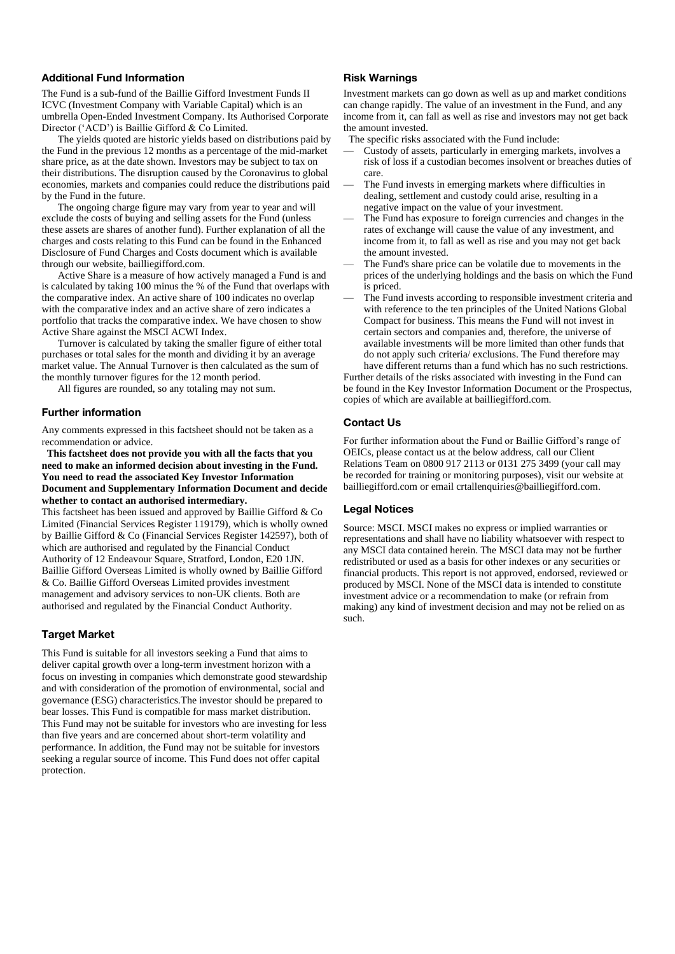# **Additional Fund Information**

The Fund is a sub-fund of the Baillie Gifford Investment Funds II ICVC (Investment Company with Variable Capital) which is an umbrella Open-Ended Investment Company. Its Authorised Corporate Director ('ACD') is Baillie Gifford & Co Limited.

The yields quoted are historic yields based on distributions paid by the Fund in the previous 12 months as a percentage of the mid-market share price, as at the date shown. Investors may be subject to tax on their distributions. The disruption caused by the Coronavirus to global economies, markets and companies could reduce the distributions paid by the Fund in the future.

The ongoing charge figure may vary from year to year and will exclude the costs of buying and selling assets for the Fund (unless these assets are shares of another fund). Further explanation of all the charges and costs relating to this Fund can be found in the Enhanced Disclosure of Fund Charges and Costs document which is available through our website[, bailliegifford.com.](http://www.bailliegifford.com/)

Active Share is a measure of how actively managed a Fund is and is calculated by taking 100 minus the % of the Fund that overlaps with the comparative index. An active share of 100 indicates no overlap with the comparative index and an active share of zero indicates a portfolio that tracks the comparative index. We have chosen to show Active Share against the MSCI ACWI Index.

Turnover is calculated by taking the smaller figure of either total purchases or total sales for the month and dividing it by an average market value. The Annual Turnover is then calculated as the sum of the monthly turnover figures for the 12 month period.

All figures are rounded, so any totaling may not sum.

#### **Further information**

Any comments expressed in this factsheet should not be taken as a recommendation or advice.

 **This factsheet does not provide you with all the facts that you need to make an informed decision about investing in the Fund. You need to read the associated Key Investor Information Document and Supplementary Information Document and decide whether to contact an authorised intermediary.**

This factsheet has been issued and approved by Baillie Gifford & Co Limited (Financial Services Register 119179), which is wholly owned by Baillie Gifford & Co (Financial Services Register 142597), both of which are authorised and regulated by the Financial Conduct Authority of 12 Endeavour Square, Stratford, London, E20 1JN. Baillie Gifford Overseas Limited is wholly owned by Baillie Gifford & Co. Baillie Gifford Overseas Limited provides investment management and advisory services to non-UK clients. Both are authorised and regulated by the Financial Conduct Authority.

# **Target Market**

This Fund is suitable for all investors seeking a Fund that aims to deliver capital growth over a long-term investment horizon with a focus on investing in companies which demonstrate good stewardship and with consideration of the promotion of environmental, social and governance (ESG) characteristics.The investor should be prepared to bear losses. This Fund is compatible for mass market distribution. This Fund may not be suitable for investors who are investing for less than five years and are concerned about short-term volatility and performance. In addition, the Fund may not be suitable for investors seeking a regular source of income. This Fund does not offer capital protection.

# **Risk Warnings**

Investment markets can go down as well as up and market conditions can change rapidly. The value of an investment in the Fund, and any income from it, can fall as well as rise and investors may not get back the amount invested.

The specific risks associated with the Fund include:

- Custody of assets, particularly in emerging markets, involves a risk of loss if a custodian becomes insolvent or breaches duties of care.
- The Fund invests in emerging markets where difficulties in dealing, settlement and custody could arise, resulting in a negative impact on the value of your investment.
- The Fund has exposure to foreign currencies and changes in the rates of exchange will cause the value of any investment, and income from it, to fall as well as rise and you may not get back the amount invested.
- The Fund's share price can be volatile due to movements in the prices of the underlying holdings and the basis on which the Fund is priced.
- The Fund invests according to responsible investment criteria and with reference to the ten principles of the United Nations Global Compact for business. This means the Fund will not invest in certain sectors and companies and, therefore, the universe of available investments will be more limited than other funds that do not apply such criteria/ exclusions. The Fund therefore may have different returns than a fund which has no such restrictions.

Further details of the risks associated with investing in the Fund can be found in the Key Investor Information Document or the Prospectus, copies of which are available at bailliegifford.com.

#### **Contact Us**

For further information about the Fund or Baillie Gifford's range of OEICs, please contact us at the below address, call our Client Relations Team on 0800 917 2113 or 0131 275 3499 (your call may be recorded for training or monitoring purposes), visit our website at bailliegifford.com or emai[l crtallenquiries@bailliegifford.com.](mailto:crtallenquiries@bailliegifford.com)

#### **Legal Notices**

Source: MSCI. MSCI makes no express or implied warranties or representations and shall have no liability whatsoever with respect to any MSCI data contained herein. The MSCI data may not be further redistributed or used as a basis for other indexes or any securities or financial products. This report is not approved, endorsed, reviewed or produced by MSCI. None of the MSCI data is intended to constitute investment advice or a recommendation to make (or refrain from making) any kind of investment decision and may not be relied on as such.